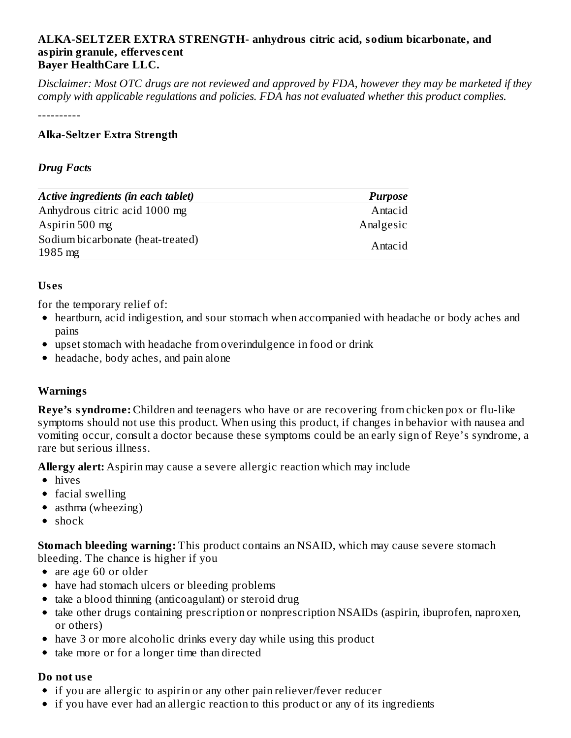#### **ALKA-SELTZER EXTRA STRENGTH- anhydrous citric acid, sodium bicarbonate, and aspirin granule, efferves cent Bayer HealthCare LLC.**

Disclaimer: Most OTC drugs are not reviewed and approved by FDA, however they may be marketed if they *comply with applicable regulations and policies. FDA has not evaluated whether this product complies.*

----------

# **Alka-Seltzer Extra Strength**

### *Drug Facts*

| Active ingredients (in each tablet)                    | <b>Purpose</b> |
|--------------------------------------------------------|----------------|
| Anhydrous citric acid 1000 mg                          | Antacid        |
| Aspirin 500 mg                                         | Analgesic      |
| Sodium bicarbonate (heat-treated)<br>$1985 \text{ mg}$ | Antacid        |

# **Us es**

for the temporary relief of:

- heartburn, acid indigestion, and sour stomach when accompanied with headache or body aches and pains
- upset stomach with headache from overindulgence in food or drink
- headache, body aches, and pain alone

# **Warnings**

**Reye's syndrome:** Children and teenagers who have or are recovering from chicken pox or flu-like symptoms should not use this product. When using this product, if changes in behavior with nausea and vomiting occur, consult a doctor because these symptoms could be an early sign of Reye's syndrome, a rare but serious illness.

**Allergy alert:** Aspirin may cause a severe allergic reaction which may include

- hives
- facial swelling
- asthma (wheezing)
- $\bullet$  shock

**Stomach bleeding warning:** This product contains an NSAID, which may cause severe stomach bleeding. The chance is higher if you

- are age 60 or older
- have had stomach ulcers or bleeding problems
- take a blood thinning (anticoagulant) or steroid drug
- take other drugs containing prescription or nonprescription NSAIDs (aspirin, ibuprofen, naproxen, or others)
- have 3 or more alcoholic drinks every day while using this product
- take more or for a longer time than directed  $\bullet$

#### **Do not us e**

- if you are allergic to aspirin or any other pain reliever/fever reducer
- if you have ever had an allergic reaction to this product or any of its ingredients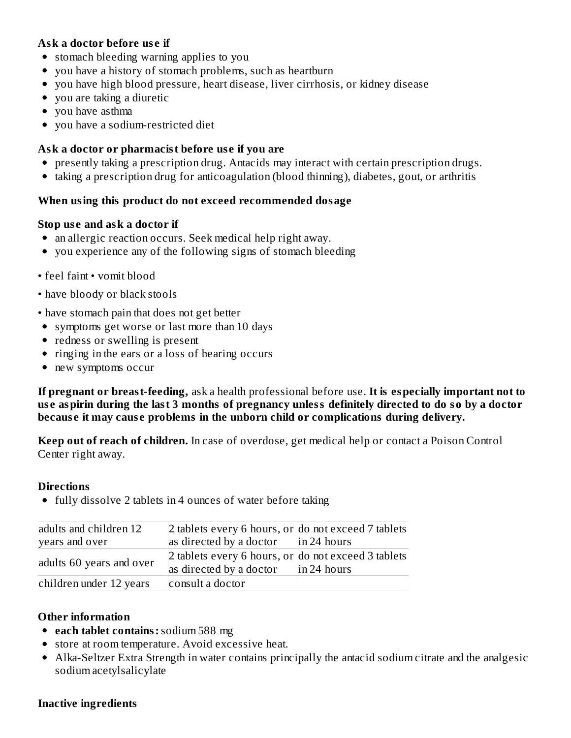# **Ask a doctor before us e if**

- stomach bleeding warning applies to you
- you have a history of stomach problems, such as heartburn
- you have high blood pressure, heart disease, liver cirrhosis, or kidney disease
- you are taking a diuretic
- you have asthma
- vou have a sodium-restricted diet

# **Ask a doctor or pharmacist before us e if you are**

- presently taking a prescription drug. Antacids may interact with certain prescription drugs.
- taking a prescription drug for anticoagulation (blood thinning), diabetes, gout, or arthritis

#### **When using this product do not exceed recommended dosage**

#### **Stop us e and ask a doctor if**

- an allergic reaction occurs. Seek medical help right away.
- you experience any of the following signs of stomach bleeding
- feel faint vomit blood
- have bloody or black stools
- have stomach pain that does not get better
- symptoms get worse or last more than 10 days
- redness or swelling is present
- ringing in the ears or a loss of hearing occurs
- new symptoms occur

**If pregnant or breast-feeding,** ask a health professional before use. **It is especially important not to** use aspirin during the last 3 months of pregnancy unless definitely directed to do so by a doctor **becaus e it may caus e problems in the unborn child or complications during delivery.**

**Keep out of reach of children.** In case of overdose, get medical help or contact a Poison Control Center right away.

#### **Directions**

• fully dissolve 2 tablets in 4 ounces of water before taking

| adults and children 12   | 2 tablets every 6 hours, or do not exceed 7 tablets                            |             |  |  |
|--------------------------|--------------------------------------------------------------------------------|-------------|--|--|
| years and over           | as directed by a doctor $\ln 24$ hours                                         |             |  |  |
| adults 60 years and over | 2 tablets every 6 hours, or do not exceed 3 tablets<br>as directed by a doctor | in 24 hours |  |  |
| children under 12 years  | consult a doctor                                                               |             |  |  |

#### **Other information**

- **each tablet contains:**sodium 588 mg
- store at room temperature. Avoid excessive heat.
- Alka-Seltzer Extra Strength in water contains principally the antacid sodium citrate and the analgesic sodium acetylsalicylate

#### **Inactive ingredients**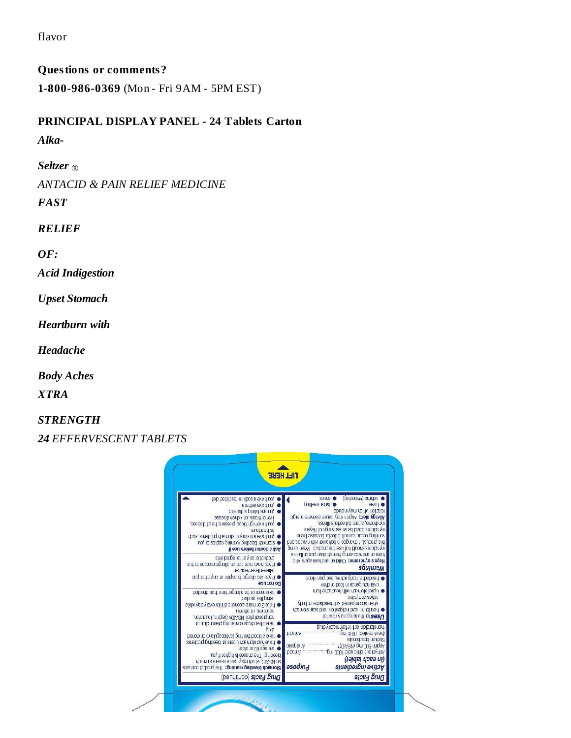flavor

**Questions or comments? 1-800-986-0369** (Mon - Fri 9AM - 5PM EST)

# **PRINCIPAL DISPLAY PANEL - 24 Tablets Carton**

*Alka-*

*Seltzer* ®

*ANTACID & PAIN RELIEF MEDICINE*

*FAST*

*RELIEF*

*OF:*

*Acid Indigestion*

*Upset Stomach*

*Heartburn with*

*Headache*

*Body Aches*

*XTRA*

*STRENGTH*

*24 EFFERVESCENT TABLETS*

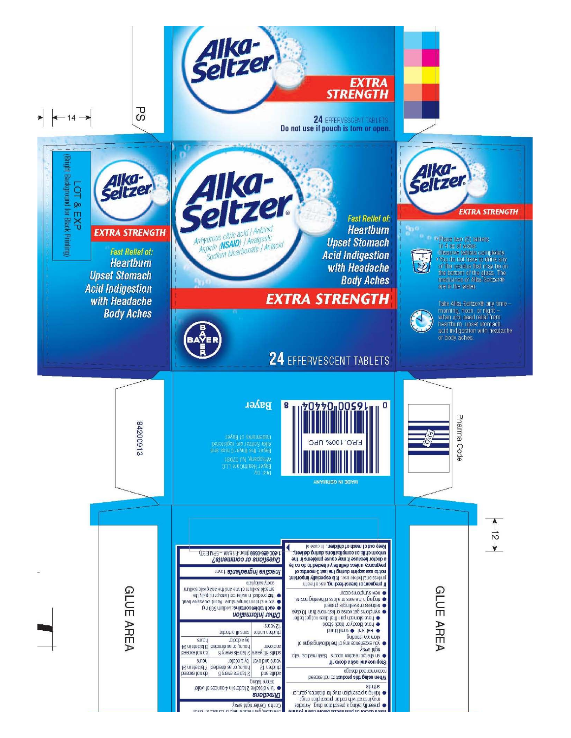